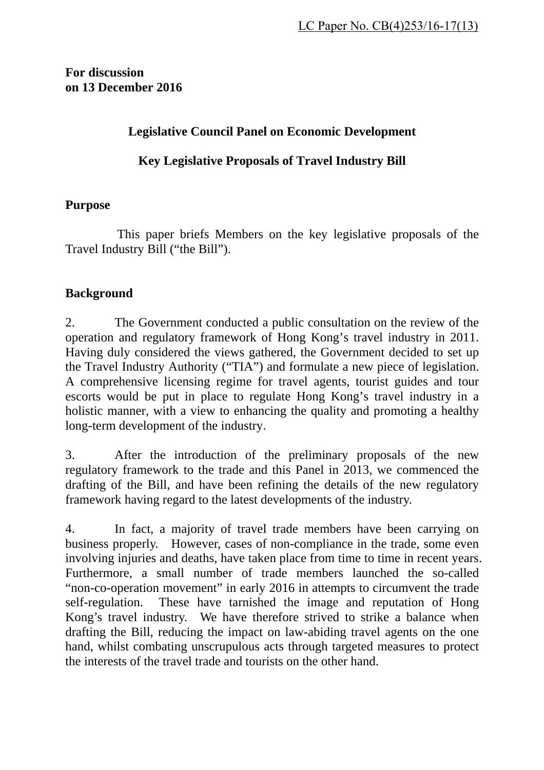**For discussion on 13 December 2016** 

## **Legislative Council Panel on Economic Development**

### **Key Legislative Proposals of Travel Industry Bill**

#### **Purpose**

This paper briefs Members on the key legislative proposals of the Travel Industry Bill ("the Bill").

#### **Background**

2. The Government conducted a public consultation on the review of the operation and regulatory framework of Hong Kong's travel industry in 2011. Having duly considered the views gathered, the Government decided to set up the Travel Industry Authority ("TIA") and formulate a new piece of legislation. A comprehensive licensing regime for travel agents, tourist guides and tour escorts would be put in place to regulate Hong Kong's travel industry in a holistic manner, with a view to enhancing the quality and promoting a healthy long-term development of the industry.

3. After the introduction of the preliminary proposals of the new regulatory framework to the trade and this Panel in 2013, we commenced the drafting of the Bill, and have been refining the details of the new regulatory framework having regard to the latest developments of the industry.

4. In fact, a majority of travel trade members have been carrying on business properly. However, cases of non-compliance in the trade, some even involving injuries and deaths, have taken place from time to time in recent years. Furthermore, a small number of trade members launched the so-called "non-co-operation movement" in early 2016 in attempts to circumvent the trade self-regulation. These have tarnished the image and reputation of Hong Kong's travel industry. We have therefore strived to strike a balance when drafting the Bill, reducing the impact on law-abiding travel agents on the one hand, whilst combating unscrupulous acts through targeted measures to protect the interests of the travel trade and tourists on the other hand.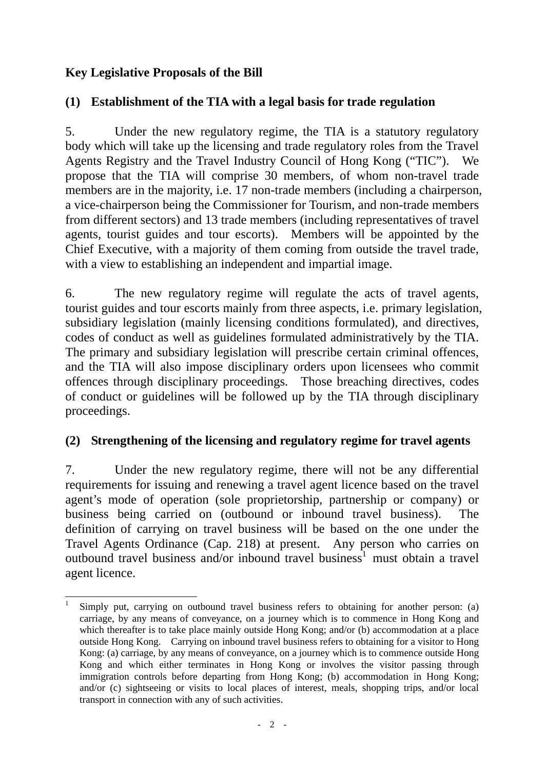# **Key Legislative Proposals of the Bill**

# **(1) Establishment of the TIA with a legal basis for trade regulation**

5. Under the new regulatory regime, the TIA is a statutory regulatory body which will take up the licensing and trade regulatory roles from the Travel Agents Registry and the Travel Industry Council of Hong Kong ("TIC"). We propose that the TIA will comprise 30 members, of whom non-travel trade members are in the majority, i.e. 17 non-trade members (including a chairperson, a vice-chairperson being the Commissioner for Tourism, and non-trade members from different sectors) and 13 trade members (including representatives of travel agents, tourist guides and tour escorts). Members will be appointed by the Chief Executive, with a majority of them coming from outside the travel trade, with a view to establishing an independent and impartial image.

6. The new regulatory regime will regulate the acts of travel agents, tourist guides and tour escorts mainly from three aspects, i.e. primary legislation, subsidiary legislation (mainly licensing conditions formulated), and directives, codes of conduct as well as guidelines formulated administratively by the TIA. The primary and subsidiary legislation will prescribe certain criminal offences, and the TIA will also impose disciplinary orders upon licensees who commit offences through disciplinary proceedings. Those breaching directives, codes of conduct or guidelines will be followed up by the TIA through disciplinary proceedings.

## **(2) Strengthening of the licensing and regulatory regime for travel agents**

7. Under the new regulatory regime, there will not be any differential requirements for issuing and renewing a travel agent licence based on the travel agent's mode of operation (sole proprietorship, partnership or company) or business being carried on (outbound or inbound travel business). The definition of carrying on travel business will be based on the one under the Travel Agents Ordinance (Cap. 218) at present. Any person who carries on outbound travel business and/or inbound travel business<sup>1</sup> must obtain a travel agent licence.

l 1 Simply put, carrying on outbound travel business refers to obtaining for another person: (a) carriage, by any means of conveyance, on a journey which is to commence in Hong Kong and which thereafter is to take place mainly outside Hong Kong; and/or (b) accommodation at a place outside Hong Kong. Carrying on inbound travel business refers to obtaining for a visitor to Hong Kong: (a) carriage, by any means of conveyance, on a journey which is to commence outside Hong Kong and which either terminates in Hong Kong or involves the visitor passing through immigration controls before departing from Hong Kong; (b) accommodation in Hong Kong; and/or (c) sightseeing or visits to local places of interest, meals, shopping trips, and/or local transport in connection with any of such activities.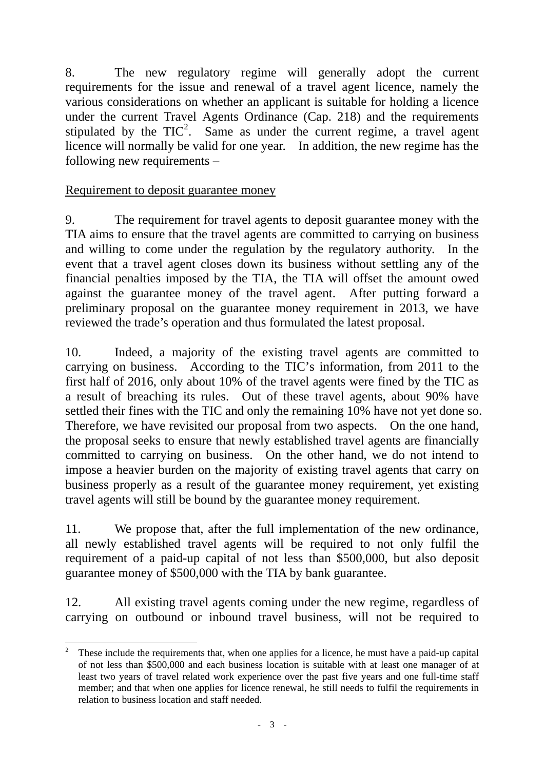8. The new regulatory regime will generally adopt the current requirements for the issue and renewal of a travel agent licence, namely the various considerations on whether an applicant is suitable for holding a licence under the current Travel Agents Ordinance (Cap. 218) and the requirements stipulated by the  $TIC^2$ . Same as under the current regime, a travel agent licence will normally be valid for one year. In addition, the new regime has the following new requirements –

#### Requirement to deposit guarantee money

9. The requirement for travel agents to deposit guarantee money with the TIA aims to ensure that the travel agents are committed to carrying on business and willing to come under the regulation by the regulatory authority. In the event that a travel agent closes down its business without settling any of the financial penalties imposed by the TIA, the TIA will offset the amount owed against the guarantee money of the travel agent. After putting forward a preliminary proposal on the guarantee money requirement in 2013, we have reviewed the trade's operation and thus formulated the latest proposal.

10. Indeed, a majority of the existing travel agents are committed to carrying on business. According to the TIC's information, from 2011 to the first half of 2016, only about 10% of the travel agents were fined by the TIC as a result of breaching its rules. Out of these travel agents, about 90% have settled their fines with the TIC and only the remaining 10% have not yet done so. Therefore, we have revisited our proposal from two aspects. On the one hand, the proposal seeks to ensure that newly established travel agents are financially committed to carrying on business. On the other hand, we do not intend to impose a heavier burden on the majority of existing travel agents that carry on business properly as a result of the guarantee money requirement, yet existing travel agents will still be bound by the guarantee money requirement.

11. We propose that, after the full implementation of the new ordinance, all newly established travel agents will be required to not only fulfil the requirement of a paid-up capital of not less than \$500,000, but also deposit guarantee money of \$500,000 with the TIA by bank guarantee.

12. All existing travel agents coming under the new regime, regardless of carrying on outbound or inbound travel business, will not be required to

 $\frac{1}{2}$  These include the requirements that, when one applies for a licence, he must have a paid-up capital of not less than \$500,000 and each business location is suitable with at least one manager of at least two years of travel related work experience over the past five years and one full-time staff member; and that when one applies for licence renewal, he still needs to fulfil the requirements in relation to business location and staff needed.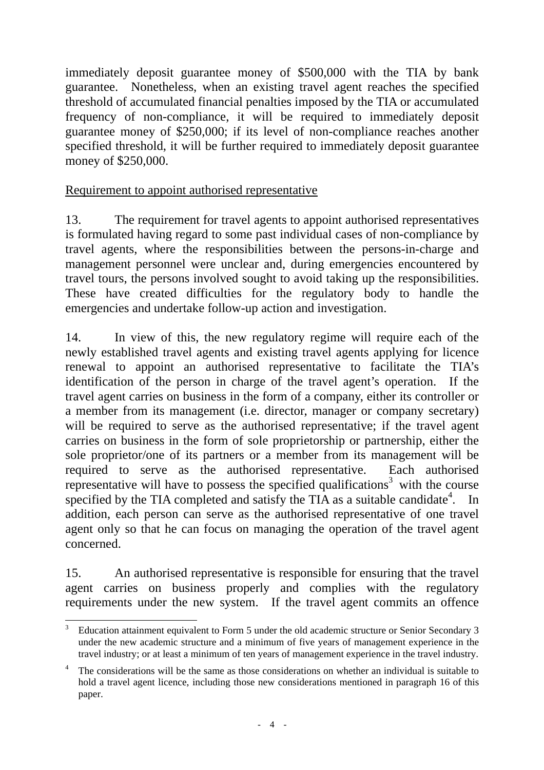immediately deposit guarantee money of \$500,000 with the TIA by bank guarantee. Nonetheless, when an existing travel agent reaches the specified threshold of accumulated financial penalties imposed by the TIA or accumulated frequency of non-compliance, it will be required to immediately deposit guarantee money of \$250,000; if its level of non-compliance reaches another specified threshold, it will be further required to immediately deposit guarantee money of \$250,000.

### Requirement to appoint authorised representative

13. The requirement for travel agents to appoint authorised representatives is formulated having regard to some past individual cases of non-compliance by travel agents, where the responsibilities between the persons-in-charge and management personnel were unclear and, during emergencies encountered by travel tours, the persons involved sought to avoid taking up the responsibilities. These have created difficulties for the regulatory body to handle the emergencies and undertake follow-up action and investigation.

14. In view of this, the new regulatory regime will require each of the newly established travel agents and existing travel agents applying for licence renewal to appoint an authorised representative to facilitate the TIA's identification of the person in charge of the travel agent's operation. If the travel agent carries on business in the form of a company, either its controller or a member from its management (i.e. director, manager or company secretary) will be required to serve as the authorised representative; if the travel agent carries on business in the form of sole proprietorship or partnership, either the sole proprietor/one of its partners or a member from its management will be required to serve as the authorised representative. Each authorised representative will have to possess the specified qualifications<sup>3</sup> with the course specified by the TIA completed and satisfy the TIA as a suitable candidate<sup>4</sup>. In addition, each person can serve as the authorised representative of one travel agent only so that he can focus on managing the operation of the travel agent concerned.

15. An authorised representative is responsible for ensuring that the travel agent carries on business properly and complies with the regulatory requirements under the new system. If the travel agent commits an offence

l

<sup>3</sup> Education attainment equivalent to Form 5 under the old academic structure or Senior Secondary 3 under the new academic structure and a minimum of five years of management experience in the travel industry; or at least a minimum of ten years of management experience in the travel industry.

<sup>4</sup> The considerations will be the same as those considerations on whether an individual is suitable to hold a travel agent licence, including those new considerations mentioned in paragraph 16 of this paper.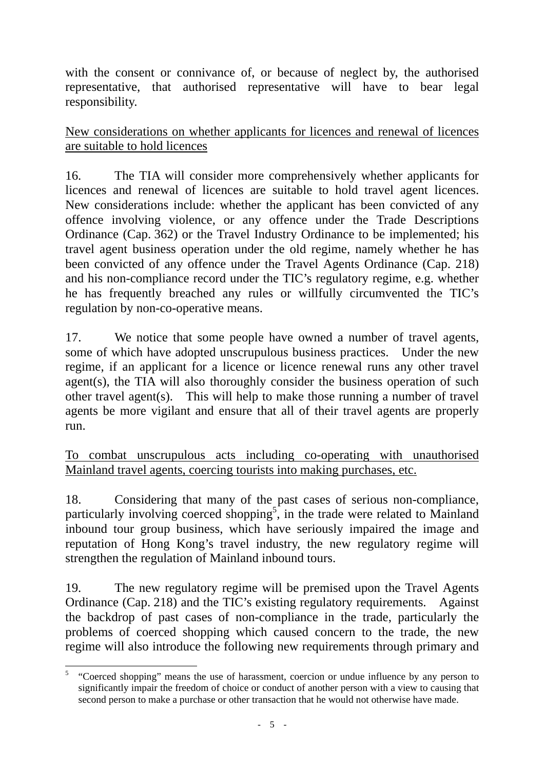with the consent or connivance of, or because of neglect by, the authorised representative, that authorised representative will have to bear legal responsibility.

New considerations on whether applicants for licences and renewal of licences are suitable to hold licences

16. The TIA will consider more comprehensively whether applicants for licences and renewal of licences are suitable to hold travel agent licences. New considerations include: whether the applicant has been convicted of any offence involving violence, or any offence under the Trade Descriptions Ordinance (Cap. 362) or the Travel Industry Ordinance to be implemented; his travel agent business operation under the old regime, namely whether he has been convicted of any offence under the Travel Agents Ordinance (Cap. 218) and his non-compliance record under the TIC's regulatory regime, e.g. whether he has frequently breached any rules or willfully circumvented the TIC's regulation by non-co-operative means.

17. We notice that some people have owned a number of travel agents, some of which have adopted unscrupulous business practices. Under the new regime, if an applicant for a licence or licence renewal runs any other travel agent(s), the TIA will also thoroughly consider the business operation of such other travel agent(s). This will help to make those running a number of travel agents be more vigilant and ensure that all of their travel agents are properly run.

To combat unscrupulous acts including co-operating with unauthorised Mainland travel agents, coercing tourists into making purchases, etc.

18. Considering that many of the past cases of serious non-compliance, particularly involving coerced shopping<sup>5</sup>, in the trade were related to Mainland inbound tour group business, which have seriously impaired the image and reputation of Hong Kong's travel industry, the new regulatory regime will strengthen the regulation of Mainland inbound tours.

19. The new regulatory regime will be premised upon the Travel Agents Ordinance (Cap. 218) and the TIC's existing regulatory requirements. Against the backdrop of past cases of non-compliance in the trade, particularly the problems of coerced shopping which caused concern to the trade, the new regime will also introduce the following new requirements through primary and

l 5 "Coerced shopping" means the use of harassment, coercion or undue influence by any person to significantly impair the freedom of choice or conduct of another person with a view to causing that second person to make a purchase or other transaction that he would not otherwise have made.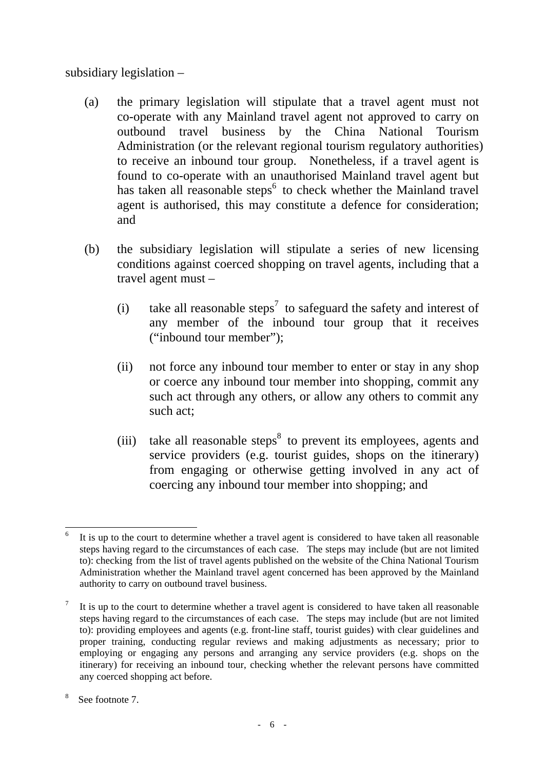subsidiary legislation –

- (a) the primary legislation will stipulate that a travel agent must not co-operate with any Mainland travel agent not approved to carry on outbound travel business by the China National Tourism Administration (or the relevant regional tourism regulatory authorities) to receive an inbound tour group. Nonetheless, if a travel agent is found to co-operate with an unauthorised Mainland travel agent but has taken all reasonable steps $<sup>6</sup>$  to check whether the Mainland travel</sup> agent is authorised, this may constitute a defence for consideration; and
- (b) the subsidiary legislation will stipulate a series of new licensing conditions against coerced shopping on travel agents, including that a travel agent must –
	- (i) take all reasonable steps<sup>7</sup> to safeguard the safety and interest of any member of the inbound tour group that it receives ("inbound tour member");
	- (ii) not force any inbound tour member to enter or stay in any shop or coerce any inbound tour member into shopping, commit any such act through any others, or allow any others to commit any such act;
	- $(iii)$  take all reasonable steps<sup>8</sup> to prevent its employees, agents and service providers (e.g. tourist guides, shops on the itinerary) from engaging or otherwise getting involved in any act of coercing any inbound tour member into shopping; and

l 6 It is up to the court to determine whether a travel agent is considered to have taken all reasonable steps having regard to the circumstances of each case. The steps may include (but are not limited to): checking from the list of travel agents published on the website of the China National Tourism Administration whether the Mainland travel agent concerned has been approved by the Mainland authority to carry on outbound travel business.

<sup>7</sup> It is up to the court to determine whether a travel agent is considered to have taken all reasonable steps having regard to the circumstances of each case. The steps may include (but are not limited to): providing employees and agents (e.g. front-line staff, tourist guides) with clear guidelines and proper training, conducting regular reviews and making adjustments as necessary; prior to employing or engaging any persons and arranging any service providers (e.g. shops on the itinerary) for receiving an inbound tour, checking whether the relevant persons have committed any coerced shopping act before.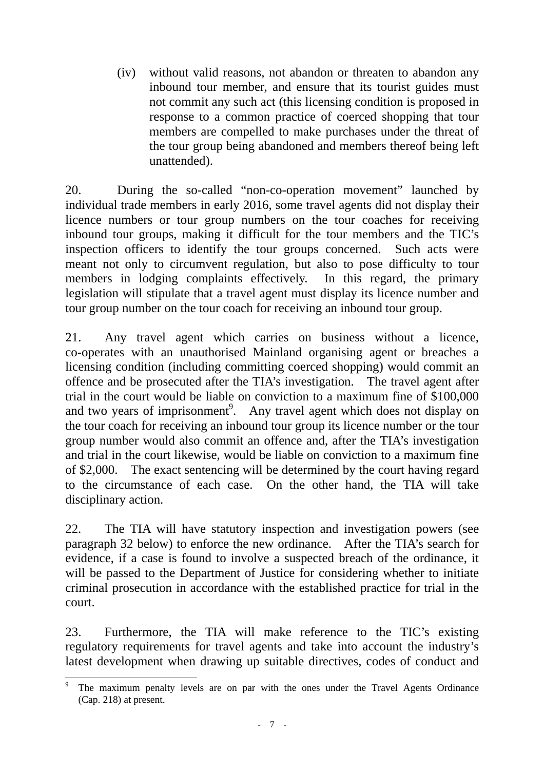(iv) without valid reasons, not abandon or threaten to abandon any inbound tour member, and ensure that its tourist guides must not commit any such act (this licensing condition is proposed in response to a common practice of coerced shopping that tour members are compelled to make purchases under the threat of the tour group being abandoned and members thereof being left unattended).

20. During the so-called "non-co-operation movement" launched by individual trade members in early 2016, some travel agents did not display their licence numbers or tour group numbers on the tour coaches for receiving inbound tour groups, making it difficult for the tour members and the TIC's inspection officers to identify the tour groups concerned. Such acts were meant not only to circumvent regulation, but also to pose difficulty to tour members in lodging complaints effectively. In this regard, the primary legislation will stipulate that a travel agent must display its licence number and tour group number on the tour coach for receiving an inbound tour group.

21. Any travel agent which carries on business without a licence, co-operates with an unauthorised Mainland organising agent or breaches a licensing condition (including committing coerced shopping) would commit an offence and be prosecuted after the TIA's investigation. The travel agent after trial in the court would be liable on conviction to a maximum fine of \$100,000 and two years of imprisonment<sup>9</sup>. Any travel agent which does not display on the tour coach for receiving an inbound tour group its licence number or the tour group number would also commit an offence and, after the TIA's investigation and trial in the court likewise, would be liable on conviction to a maximum fine of \$2,000. The exact sentencing will be determined by the court having regard to the circumstance of each case. On the other hand, the TIA will take disciplinary action.

22. The TIA will have statutory inspection and investigation powers (see paragraph 32 below) to enforce the new ordinance. After the TIA's search for evidence, if a case is found to involve a suspected breach of the ordinance, it will be passed to the Department of Justice for considering whether to initiate criminal prosecution in accordance with the established practice for trial in the court.

23. Furthermore, the TIA will make reference to the TIC's existing regulatory requirements for travel agents and take into account the industry's latest development when drawing up suitable directives, codes of conduct and

l 9 The maximum penalty levels are on par with the ones under the Travel Agents Ordinance (Cap. 218) at present.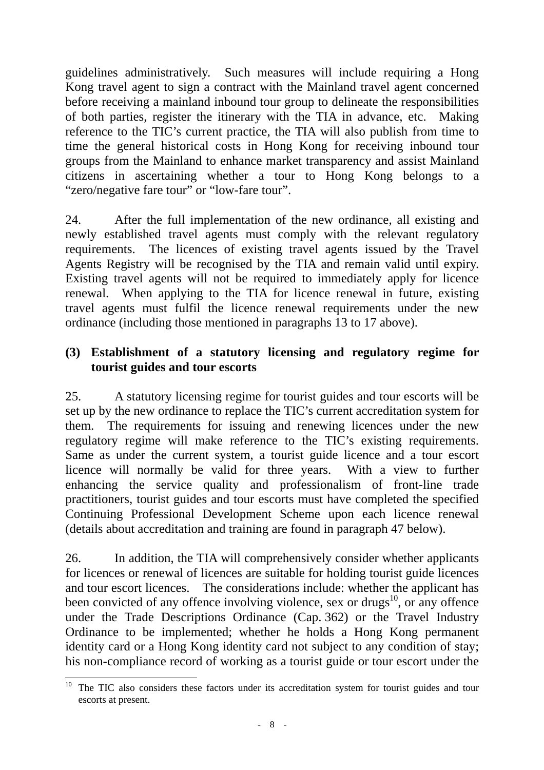guidelines administratively. Such measures will include requiring a Hong Kong travel agent to sign a contract with the Mainland travel agent concerned before receiving a mainland inbound tour group to delineate the responsibilities of both parties, register the itinerary with the TIA in advance, etc. Making reference to the TIC's current practice, the TIA will also publish from time to time the general historical costs in Hong Kong for receiving inbound tour groups from the Mainland to enhance market transparency and assist Mainland citizens in ascertaining whether a tour to Hong Kong belongs to a "zero/negative fare tour" or "low-fare tour".

24. After the full implementation of the new ordinance, all existing and newly established travel agents must comply with the relevant regulatory requirements. The licences of existing travel agents issued by the Travel Agents Registry will be recognised by the TIA and remain valid until expiry. Existing travel agents will not be required to immediately apply for licence renewal. When applying to the TIA for licence renewal in future, existing travel agents must fulfil the licence renewal requirements under the new ordinance (including those mentioned in paragraphs 13 to 17 above).

### **(3) Establishment of a statutory licensing and regulatory regime for tourist guides and tour escorts**

25. A statutory licensing regime for tourist guides and tour escorts will be set up by the new ordinance to replace the TIC's current accreditation system for them. The requirements for issuing and renewing licences under the new regulatory regime will make reference to the TIC's existing requirements. Same as under the current system, a tourist guide licence and a tour escort licence will normally be valid for three years. With a view to further enhancing the service quality and professionalism of front-line trade practitioners, tourist guides and tour escorts must have completed the specified Continuing Professional Development Scheme upon each licence renewal (details about accreditation and training are found in paragraph 47 below).

26. In addition, the TIA will comprehensively consider whether applicants for licences or renewal of licences are suitable for holding tourist guide licences and tour escort licences. The considerations include: whether the applicant has been convicted of any offence involving violence, sex or drugs<sup>10</sup>, or any offence under the Trade Descriptions Ordinance (Cap. 362) or the Travel Industry Ordinance to be implemented; whether he holds a Hong Kong permanent identity card or a Hong Kong identity card not subject to any condition of stay; his non-compliance record of working as a tourist guide or tour escort under the

l <sup>10</sup> The TIC also considers these factors under its accreditation system for tourist guides and tour escorts at present.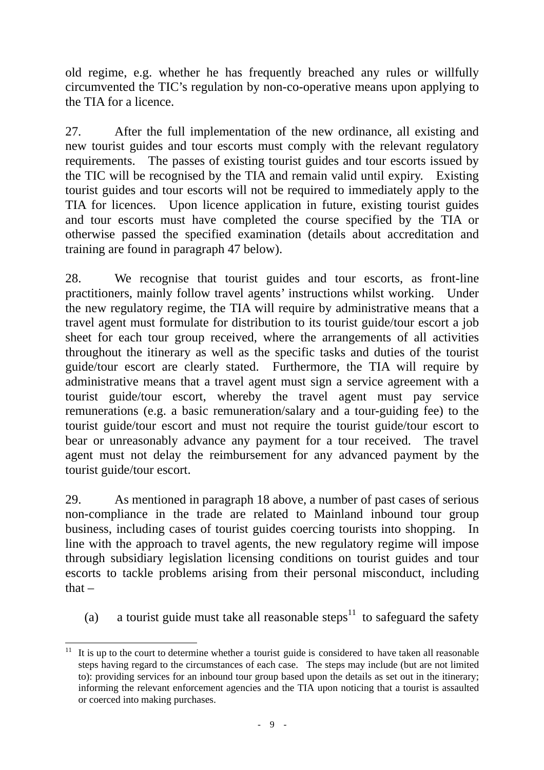old regime, e.g. whether he has frequently breached any rules or willfully circumvented the TIC's regulation by non-co-operative means upon applying to the TIA for a licence.

27. After the full implementation of the new ordinance, all existing and new tourist guides and tour escorts must comply with the relevant regulatory requirements. The passes of existing tourist guides and tour escorts issued by the TIC will be recognised by the TIA and remain valid until expiry. Existing tourist guides and tour escorts will not be required to immediately apply to the TIA for licences. Upon licence application in future, existing tourist guides and tour escorts must have completed the course specified by the TIA or otherwise passed the specified examination (details about accreditation and training are found in paragraph 47 below).

28. We recognise that tourist guides and tour escorts, as front-line practitioners, mainly follow travel agents' instructions whilst working. Under the new regulatory regime, the TIA will require by administrative means that a travel agent must formulate for distribution to its tourist guide/tour escort a job sheet for each tour group received, where the arrangements of all activities throughout the itinerary as well as the specific tasks and duties of the tourist guide/tour escort are clearly stated. Furthermore, the TIA will require by administrative means that a travel agent must sign a service agreement with a tourist guide/tour escort, whereby the travel agent must pay service remunerations (e.g. a basic remuneration/salary and a tour-guiding fee) to the tourist guide/tour escort and must not require the tourist guide/tour escort to bear or unreasonably advance any payment for a tour received. The travel agent must not delay the reimbursement for any advanced payment by the tourist guide/tour escort.

29. As mentioned in paragraph 18 above, a number of past cases of serious non-compliance in the trade are related to Mainland inbound tour group business, including cases of tourist guides coercing tourists into shopping. In line with the approach to travel agents, the new regulatory regime will impose through subsidiary legislation licensing conditions on tourist guides and tour escorts to tackle problems arising from their personal misconduct, including  $that -$ 

(a) a tourist guide must take all reasonable steps<sup>11</sup> to safeguard the safety

l  $11$  It is up to the court to determine whether a tourist guide is considered to have taken all reasonable steps having regard to the circumstances of each case. The steps may include (but are not limited to): providing services for an inbound tour group based upon the details as set out in the itinerary; informing the relevant enforcement agencies and the TIA upon noticing that a tourist is assaulted or coerced into making purchases.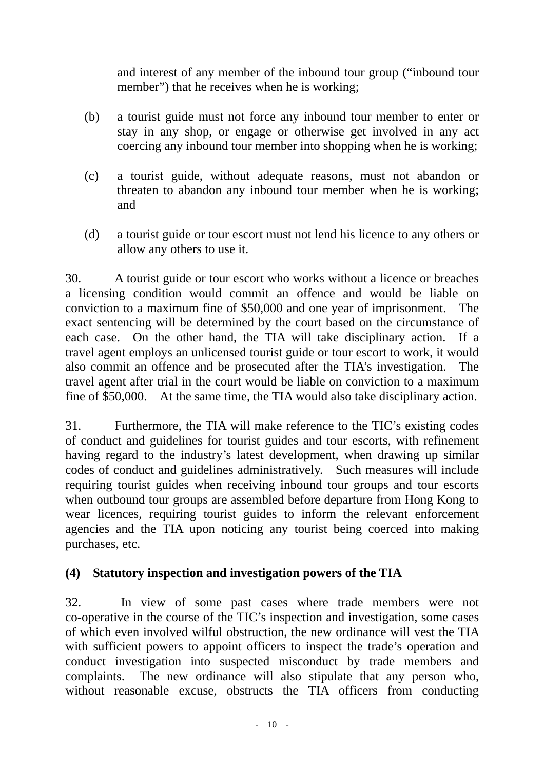and interest of any member of the inbound tour group ("inbound tour member") that he receives when he is working;

- (b) a tourist guide must not force any inbound tour member to enter or stay in any shop, or engage or otherwise get involved in any act coercing any inbound tour member into shopping when he is working;
- (c) a tourist guide, without adequate reasons, must not abandon or threaten to abandon any inbound tour member when he is working; and
- (d) a tourist guide or tour escort must not lend his licence to any others or allow any others to use it.

30. A tourist guide or tour escort who works without a licence or breaches a licensing condition would commit an offence and would be liable on conviction to a maximum fine of \$50,000 and one year of imprisonment. The exact sentencing will be determined by the court based on the circumstance of each case. On the other hand, the TIA will take disciplinary action. If a travel agent employs an unlicensed tourist guide or tour escort to work, it would also commit an offence and be prosecuted after the TIA's investigation. The travel agent after trial in the court would be liable on conviction to a maximum fine of \$50,000. At the same time, the TIA would also take disciplinary action.

31. Furthermore, the TIA will make reference to the TIC's existing codes of conduct and guidelines for tourist guides and tour escorts, with refinement having regard to the industry's latest development, when drawing up similar codes of conduct and guidelines administratively. Such measures will include requiring tourist guides when receiving inbound tour groups and tour escorts when outbound tour groups are assembled before departure from Hong Kong to wear licences, requiring tourist guides to inform the relevant enforcement agencies and the TIA upon noticing any tourist being coerced into making purchases, etc.

## **(4) Statutory inspection and investigation powers of the TIA**

32. In view of some past cases where trade members were not co-operative in the course of the TIC's inspection and investigation, some cases of which even involved wilful obstruction, the new ordinance will vest the TIA with sufficient powers to appoint officers to inspect the trade's operation and conduct investigation into suspected misconduct by trade members and complaints. The new ordinance will also stipulate that any person who, without reasonable excuse, obstructs the TIA officers from conducting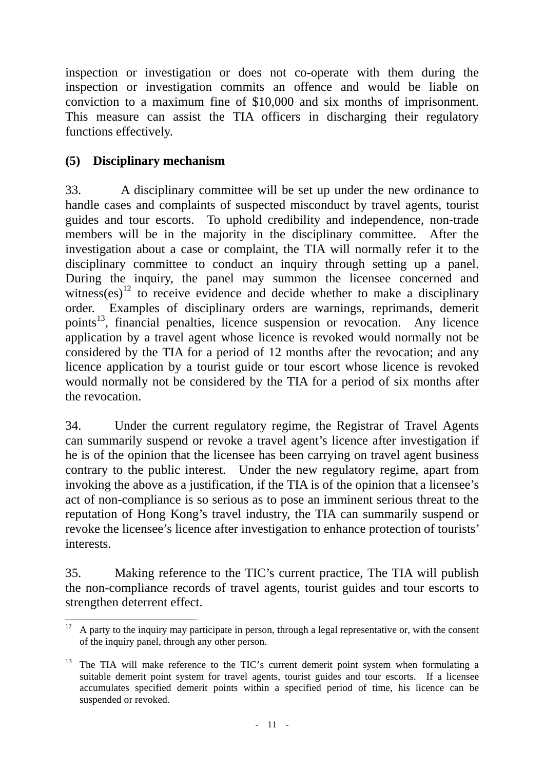inspection or investigation or does not co-operate with them during the inspection or investigation commits an offence and would be liable on conviction to a maximum fine of \$10,000 and six months of imprisonment. This measure can assist the TIA officers in discharging their regulatory functions effectively.

# **(5) Disciplinary mechanism**

33. A disciplinary committee will be set up under the new ordinance to handle cases and complaints of suspected misconduct by travel agents, tourist guides and tour escorts. To uphold credibility and independence, non-trade members will be in the majority in the disciplinary committee. After the investigation about a case or complaint, the TIA will normally refer it to the disciplinary committee to conduct an inquiry through setting up a panel. During the inquiry, the panel may summon the licensee concerned and witness(es)<sup>12</sup> to receive evidence and decide whether to make a disciplinary order. Examples of disciplinary orders are warnings, reprimands, demerit points<sup>13</sup>, financial penalties, licence suspension or revocation. Any licence application by a travel agent whose licence is revoked would normally not be considered by the TIA for a period of 12 months after the revocation; and any licence application by a tourist guide or tour escort whose licence is revoked would normally not be considered by the TIA for a period of six months after the revocation.

34. Under the current regulatory regime, the Registrar of Travel Agents can summarily suspend or revoke a travel agent's licence after investigation if he is of the opinion that the licensee has been carrying on travel agent business contrary to the public interest. Under the new regulatory regime, apart from invoking the above as a justification, if the TIA is of the opinion that a licensee's act of non-compliance is so serious as to pose an imminent serious threat to the reputation of Hong Kong's travel industry, the TIA can summarily suspend or revoke the licensee's licence after investigation to enhance protection of tourists' interests.

35. Making reference to the TIC's current practice, The TIA will publish the non-compliance records of travel agents, tourist guides and tour escorts to strengthen deterrent effect.

 $12 \,$ 12 A party to the inquiry may participate in person, through a legal representative or, with the consent of the inquiry panel, through any other person.

 $13$  The TIA will make reference to the TIC's current demerit point system when formulating a suitable demerit point system for travel agents, tourist guides and tour escorts. If a licensee accumulates specified demerit points within a specified period of time, his licence can be suspended or revoked.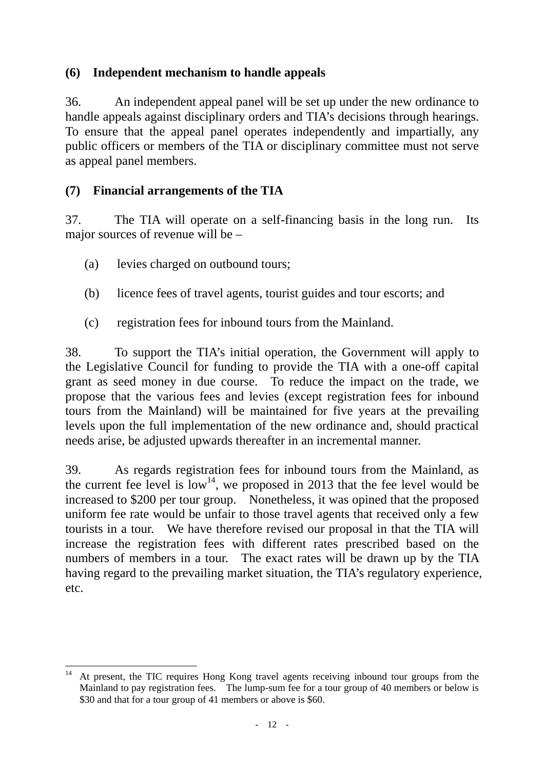# **(6) Independent mechanism to handle appeals**

36. An independent appeal panel will be set up under the new ordinance to handle appeals against disciplinary orders and TIA's decisions through hearings. To ensure that the appeal panel operates independently and impartially, any public officers or members of the TIA or disciplinary committee must not serve as appeal panel members.

## **(7) Financial arrangements of the TIA**

37. The TIA will operate on a self-financing basis in the long run. Its major sources of revenue will be –

- (a) levies charged on outbound tours;
- (b) licence fees of travel agents, tourist guides and tour escorts; and
- (c) registration fees for inbound tours from the Mainland.

38. To support the TIA's initial operation, the Government will apply to the Legislative Council for funding to provide the TIA with a one-off capital grant as seed money in due course. To reduce the impact on the trade, we propose that the various fees and levies (except registration fees for inbound tours from the Mainland) will be maintained for five years at the prevailing levels upon the full implementation of the new ordinance and, should practical needs arise, be adjusted upwards thereafter in an incremental manner.

39. As regards registration fees for inbound tours from the Mainland, as the current fee level is  $10w^{14}$ , we proposed in 2013 that the fee level would be increased to \$200 per tour group. Nonetheless, it was opined that the proposed uniform fee rate would be unfair to those travel agents that received only a few tourists in a tour. We have therefore revised our proposal in that the TIA will increase the registration fees with different rates prescribed based on the numbers of members in a tour. The exact rates will be drawn up by the TIA having regard to the prevailing market situation, the TIA's regulatory experience, etc.

l At present, the TIC requires Hong Kong travel agents receiving inbound tour groups from the Mainland to pay registration fees. The lump-sum fee for a tour group of 40 members or below is \$30 and that for a tour group of 41 members or above is \$60.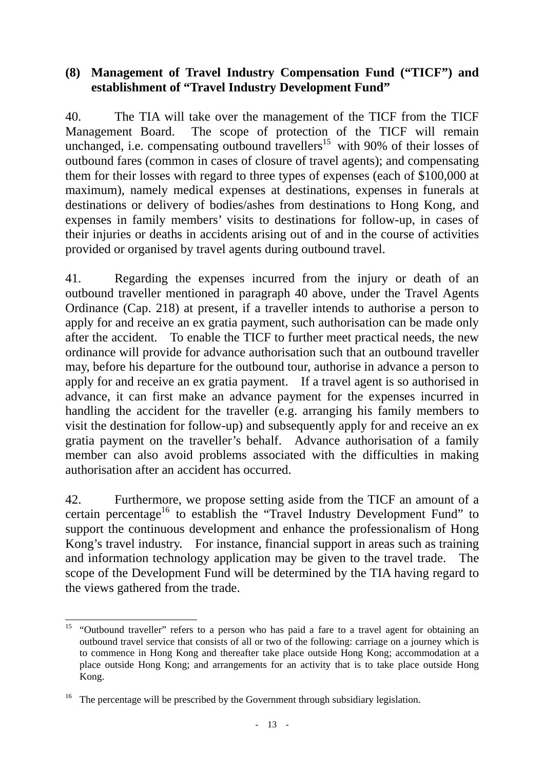#### **(8) Management of Travel Industry Compensation Fund ("TICF") and establishment of "Travel Industry Development Fund"**

40. The TIA will take over the management of the TICF from the TICF Management Board. The scope of protection of the TICF will remain unchanged, i.e. compensating outbound travellers<sup>15</sup> with 90% of their losses of outbound fares (common in cases of closure of travel agents); and compensating them for their losses with regard to three types of expenses (each of \$100,000 at maximum), namely medical expenses at destinations, expenses in funerals at destinations or delivery of bodies/ashes from destinations to Hong Kong, and expenses in family members' visits to destinations for follow-up, in cases of their injuries or deaths in accidents arising out of and in the course of activities provided or organised by travel agents during outbound travel.

41. Regarding the expenses incurred from the injury or death of an outbound traveller mentioned in paragraph 40 above, under the Travel Agents Ordinance (Cap. 218) at present, if a traveller intends to authorise a person to apply for and receive an ex gratia payment, such authorisation can be made only after the accident. To enable the TICF to further meet practical needs, the new ordinance will provide for advance authorisation such that an outbound traveller may, before his departure for the outbound tour, authorise in advance a person to apply for and receive an ex gratia payment. If a travel agent is so authorised in advance, it can first make an advance payment for the expenses incurred in handling the accident for the traveller (e.g. arranging his family members to visit the destination for follow-up) and subsequently apply for and receive an ex gratia payment on the traveller's behalf. Advance authorisation of a family member can also avoid problems associated with the difficulties in making authorisation after an accident has occurred.

42. Furthermore, we propose setting aside from the TICF an amount of a certain percentage<sup>16</sup> to establish the "Travel Industry Development Fund" to support the continuous development and enhance the professionalism of Hong Kong's travel industry. For instance, financial support in areas such as training and information technology application may be given to the travel trade. The scope of the Development Fund will be determined by the TIA having regard to the views gathered from the trade.

l <sup>15</sup> "Outbound traveller" refers to a person who has paid a fare to a travel agent for obtaining an outbound travel service that consists of all or two of the following: carriage on a journey which is to commence in Hong Kong and thereafter take place outside Hong Kong; accommodation at a place outside Hong Kong; and arrangements for an activity that is to take place outside Hong Kong.

<sup>&</sup>lt;sup>16</sup> The percentage will be prescribed by the Government through subsidiary legislation.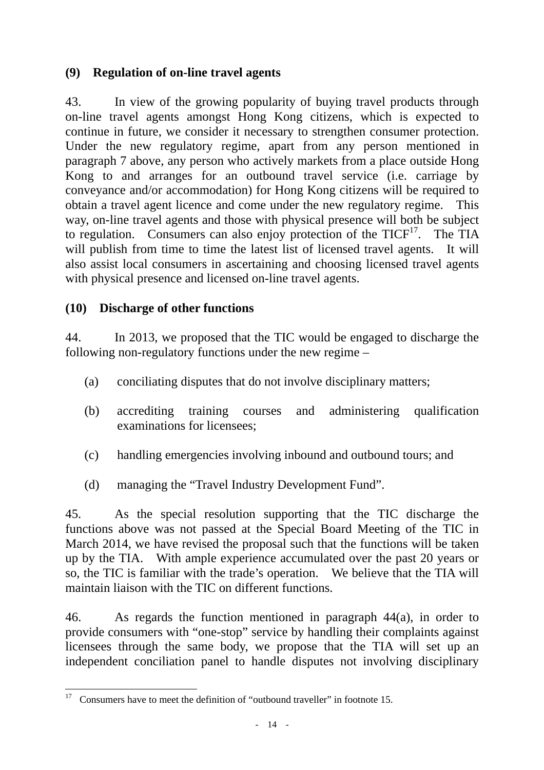# **(9) Regulation of on-line travel agents**

43. In view of the growing popularity of buying travel products through on-line travel agents amongst Hong Kong citizens, which is expected to continue in future, we consider it necessary to strengthen consumer protection. Under the new regulatory regime, apart from any person mentioned in paragraph 7 above, any person who actively markets from a place outside Hong Kong to and arranges for an outbound travel service (i.e. carriage by conveyance and/or accommodation) for Hong Kong citizens will be required to obtain a travel agent licence and come under the new regulatory regime. This way, on-line travel agents and those with physical presence will both be subject to regulation. Consumers can also enjoy protection of the  $TICF<sup>17</sup>$ . The TIA will publish from time to time the latest list of licensed travel agents. It will also assist local consumers in ascertaining and choosing licensed travel agents with physical presence and licensed on-line travel agents.

# **(10) Discharge of other functions**

44. In 2013, we proposed that the TIC would be engaged to discharge the following non-regulatory functions under the new regime –

- (a) conciliating disputes that do not involve disciplinary matters;
- (b) accrediting training courses and administering qualification examinations for licensees;
- (c) handling emergencies involving inbound and outbound tours; and
- (d) managing the "Travel Industry Development Fund".

45. As the special resolution supporting that the TIC discharge the functions above was not passed at the Special Board Meeting of the TIC in March 2014, we have revised the proposal such that the functions will be taken up by the TIA. With ample experience accumulated over the past 20 years or so, the TIC is familiar with the trade's operation. We believe that the TIA will maintain liaison with the TIC on different functions.

46. As regards the function mentioned in paragraph 44(a), in order to provide consumers with "one-stop" service by handling their complaints against licensees through the same body, we propose that the TIA will set up an independent conciliation panel to handle disputes not involving disciplinary

<sup>17</sup> 17 Consumers have to meet the definition of "outbound traveller" in footnote 15.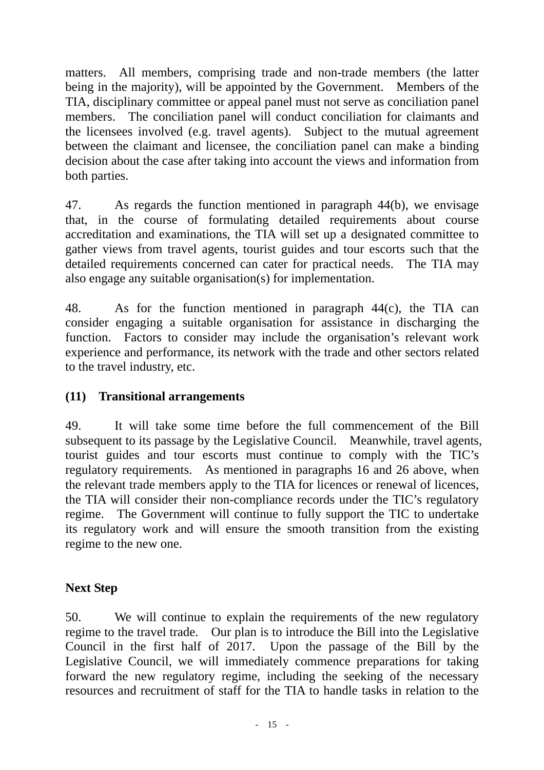matters. All members, comprising trade and non-trade members (the latter being in the majority), will be appointed by the Government. Members of the TIA, disciplinary committee or appeal panel must not serve as conciliation panel members. The conciliation panel will conduct conciliation for claimants and the licensees involved (e.g. travel agents). Subject to the mutual agreement between the claimant and licensee, the conciliation panel can make a binding decision about the case after taking into account the views and information from both parties.

47. As regards the function mentioned in paragraph 44(b), we envisage that, in the course of formulating detailed requirements about course accreditation and examinations, the TIA will set up a designated committee to gather views from travel agents, tourist guides and tour escorts such that the detailed requirements concerned can cater for practical needs. The TIA may also engage any suitable organisation(s) for implementation.

48. As for the function mentioned in paragraph 44(c), the TIA can consider engaging a suitable organisation for assistance in discharging the function. Factors to consider may include the organisation's relevant work experience and performance, its network with the trade and other sectors related to the travel industry, etc.

# **(11) Transitional arrangements**

49. It will take some time before the full commencement of the Bill subsequent to its passage by the Legislative Council. Meanwhile, travel agents, tourist guides and tour escorts must continue to comply with the TIC's regulatory requirements. As mentioned in paragraphs 16 and 26 above, when the relevant trade members apply to the TIA for licences or renewal of licences, the TIA will consider their non-compliance records under the TIC's regulatory regime. The Government will continue to fully support the TIC to undertake its regulatory work and will ensure the smooth transition from the existing regime to the new one.

## **Next Step**

50. We will continue to explain the requirements of the new regulatory regime to the travel trade. Our plan is to introduce the Bill into the Legislative Council in the first half of 2017. Upon the passage of the Bill by the Legislative Council, we will immediately commence preparations for taking forward the new regulatory regime, including the seeking of the necessary resources and recruitment of staff for the TIA to handle tasks in relation to the